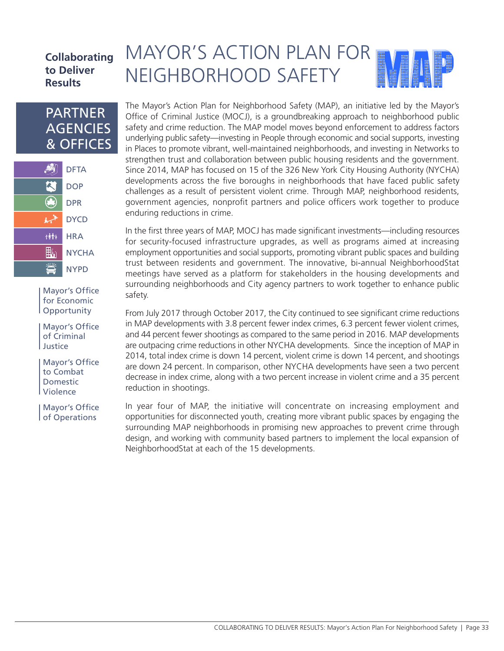### **Collaborating to Deliver Results**

## PARTNER **AGENCIES** & OFFICES



Mayor's Office for Economic Opportunity

Mayor's Office of Criminal Justice

Mayor's Office to Combat Domestic Violence

Mayor's Office of Operations

# MAYOR'S ACTION PLAN FOR NEIGHBORHOOD SAFETY

The Mayor's Action Plan for Neighborhood Safety (MAP), an initiative led by the Mayor's Office of Criminal Justice (MOCJ), is a groundbreaking approach to neighborhood public safety and crime reduction. The MAP model moves beyond enforcement to address factors underlying public safety—investing in People through economic and social supports, investing in Places to promote vibrant, well-maintained neighborhoods, and investing in Networks to strengthen trust and collaboration between public housing residents and the government. Since 2014, MAP has focused on 15 of the 326 New York City Housing Authority (NYCHA) developments across the five boroughs in neighborhoods that have faced public safety challenges as a result of persistent violent crime. Through MAP, neighborhood residents, government agencies, nonprofit partners and police officers work together to produce enduring reductions in crime.

In the first three years of MAP, MOCJ has made significant investments—including resources for security-focused infrastructure upgrades, as well as programs aimed at increasing employment opportunities and social supports, promoting vibrant public spaces and building trust between residents and government. The innovative, bi-annual NeighborhoodStat meetings have served as a platform for stakeholders in the housing developments and surrounding neighborhoods and City agency partners to work together to enhance public safety.

From July 2017 through October 2017, the City continued to see significant crime reductions in MAP developments with 3.8 percent fewer index crimes, 6.3 percent fewer violent crimes, and 44 percent fewer shootings as compared to the same period in 2016. MAP developments are outpacing crime reductions in other NYCHA developments. Since the inception of MAP in 2014, total index crime is down 14 percent, violent crime is down 14 percent, and shootings are down 24 percent. In comparison, other NYCHA developments have seen a two percent decrease in index crime, along with a two percent increase in violent crime and a 35 percent reduction in shootings.

In year four of MAP, the initiative will concentrate on increasing employment and opportunities for disconnected youth, creating more vibrant public spaces by engaging the surrounding MAP neighborhoods in promising new approaches to prevent crime through design, and working with community based partners to implement the local expansion of NeighborhoodStat at each of the 15 developments.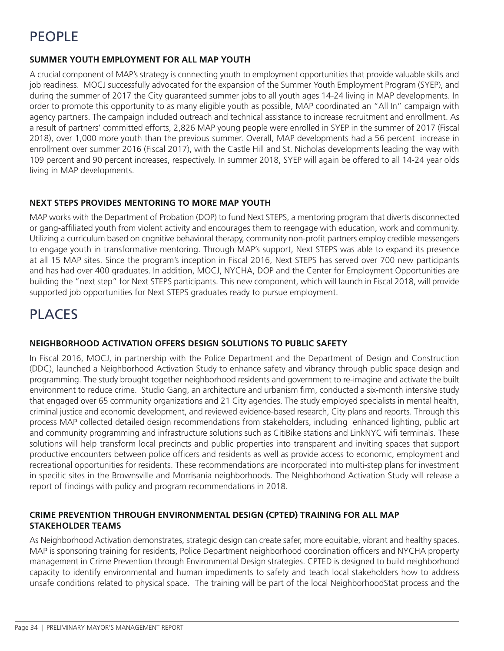# PEOPLE

#### **SUMMER YOUTH EMPLOYMENT FOR ALL MAP YOUTH**

A crucial component of MAP's strategy is connecting youth to employment opportunities that provide valuable skills and job readiness. MOCJ successfully advocated for the expansion of the Summer Youth Employment Program (SYEP), and during the summer of 2017 the City guaranteed summer jobs to all youth ages 14-24 living in MAP developments. In order to promote this opportunity to as many eligible youth as possible, MAP coordinated an "All In" campaign with agency partners. The campaign included outreach and technical assistance to increase recruitment and enrollment. As a result of partners' committed efforts, 2,826 MAP young people were enrolled in SYEP in the summer of 2017 (Fiscal 2018), over 1,000 more youth than the previous summer. Overall, MAP developments had a 56 percent increase in enrollment over summer 2016 (Fiscal 2017), with the Castle Hill and St. Nicholas developments leading the way with 109 percent and 90 percent increases, respectively. In summer 2018, SYEP will again be offered to all 14-24 year olds living in MAP developments.

#### **NEXT STEPS PROVIDES MENTORING TO MORE MAP YOUTH**

MAP works with the Department of Probation (DOP) to fund Next STEPS, a mentoring program that diverts disconnected or gang-affiliated youth from violent activity and encourages them to reengage with education, work and community. Utilizing a curriculum based on cognitive behavioral therapy, community non-profit partners employ credible messengers to engage youth in transformative mentoring. Through MAP's support, Next STEPS was able to expand its presence at all 15 MAP sites. Since the program's inception in Fiscal 2016, Next STEPS has served over 700 new participants and has had over 400 graduates. In addition, MOCJ, NYCHA, DOP and the Center for Employment Opportunities are building the "next step" for Next STEPS participants. This new component, which will launch in Fiscal 2018, will provide supported job opportunities for Next STEPS graduates ready to pursue employment.

## PLACES

#### **NEIGHBORHOOD ACTIVATION OFFERS DESIGN SOLUTIONS TO PUBLIC SAFETY**

In Fiscal 2016, MOCJ, in partnership with the Police Department and the Department of Design and Construction (DDC), launched a Neighborhood Activation Study to enhance safety and vibrancy through public space design and programming. The study brought together neighborhood residents and government to re-imagine and activate the built environment to reduce crime. Studio Gang, an architecture and urbanism firm, conducted a six-month intensive study that engaged over 65 community organizations and 21 City agencies. The study employed specialists in mental health, criminal justice and economic development, and reviewed evidence-based research, City plans and reports. Through this process MAP collected detailed design recommendations from stakeholders, including enhanced lighting, public art and community programming and infrastructure solutions such as CitiBike stations and LinkNYC wifi terminals. These solutions will help transform local precincts and public properties into transparent and inviting spaces that support productive encounters between police officers and residents as well as provide access to economic, employment and recreational opportunities for residents. These recommendations are incorporated into multi-step plans for investment in specific sites in the Brownsville and Morrisania neighborhoods. The Neighborhood Activation Study will release a report of findings with policy and program recommendations in 2018.

#### **CRIME PREVENTION THROUGH ENVIRONMENTAL DESIGN (CPTED) TRAINING FOR ALL MAP STAKEHOLDER TEAMS**

As Neighborhood Activation demonstrates, strategic design can create safer, more equitable, vibrant and healthy spaces. MAP is sponsoring training for residents, Police Department neighborhood coordination officers and NYCHA property management in Crime Prevention through Environmental Design strategies. CPTED is designed to build neighborhood capacity to identify environmental and human impediments to safety and teach local stakeholders how to address unsafe conditions related to physical space. The training will be part of the local NeighborhoodStat process and the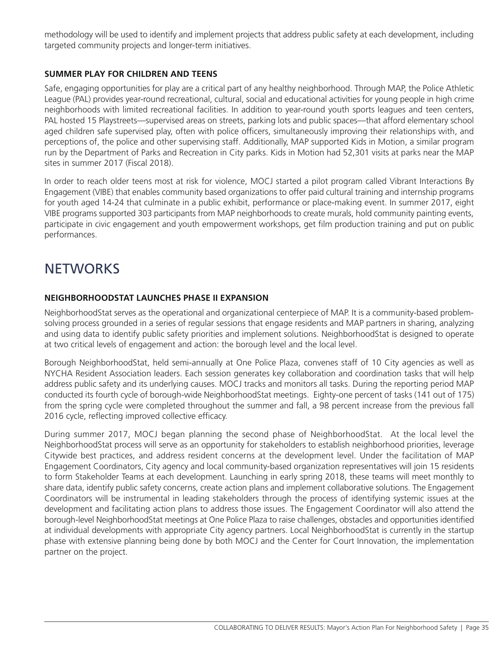methodology will be used to identify and implement projects that address public safety at each development, including targeted community projects and longer-term initiatives.

#### **SUMMER PLAY FOR CHILDREN AND TEENS**

Safe, engaging opportunities for play are a critical part of any healthy neighborhood. Through MAP, the Police Athletic League (PAL) provides year-round recreational, cultural, social and educational activities for young people in high crime neighborhoods with limited recreational facilities. In addition to year-round youth sports leagues and teen centers, PAL hosted 15 Playstreets—supervised areas on streets, parking lots and public spaces—that afford elementary school aged children safe supervised play, often with police officers, simultaneously improving their relationships with, and perceptions of, the police and other supervising staff. Additionally, MAP supported Kids in Motion, a similar program run by the Department of Parks and Recreation in City parks. Kids in Motion had 52,301 visits at parks near the MAP sites in summer 2017 (Fiscal 2018).

In order to reach older teens most at risk for violence, MOCJ started a pilot program called Vibrant Interactions By Engagement (VIBE) that enables community based organizations to offer paid cultural training and internship programs for youth aged 14-24 that culminate in a public exhibit, performance or place-making event. In summer 2017, eight VIBE programs supported 303 participants from MAP neighborhoods to create murals, hold community painting events, participate in civic engagement and youth empowerment workshops, get film production training and put on public performances.

# **NETWORKS**

#### **NEIGHBORHOODSTAT LAUNCHES PHASE II EXPANSION**

NeighborhoodStat serves as the operational and organizational centerpiece of MAP. It is a community-based problemsolving process grounded in a series of regular sessions that engage residents and MAP partners in sharing, analyzing and using data to identify public safety priorities and implement solutions. NeighborhoodStat is designed to operate at two critical levels of engagement and action: the borough level and the local level.

Borough NeighborhoodStat, held semi-annually at One Police Plaza, convenes staff of 10 City agencies as well as NYCHA Resident Association leaders. Each session generates key collaboration and coordination tasks that will help address public safety and its underlying causes. MOCJ tracks and monitors all tasks. During the reporting period MAP conducted its fourth cycle of borough-wide NeighborhoodStat meetings. Eighty-one percent of tasks (141 out of 175) from the spring cycle were completed throughout the summer and fall, a 98 percent increase from the previous fall 2016 cycle, reflecting improved collective efficacy.

During summer 2017, MOCJ began planning the second phase of NeighborhoodStat. At the local level the NeighborhoodStat process will serve as an opportunity for stakeholders to establish neighborhood priorities, leverage Citywide best practices, and address resident concerns at the development level. Under the facilitation of MAP Engagement Coordinators, City agency and local community-based organization representatives will join 15 residents to form Stakeholder Teams at each development. Launching in early spring 2018, these teams will meet monthly to share data, identify public safety concerns, create action plans and implement collaborative solutions. The Engagement Coordinators will be instrumental in leading stakeholders through the process of identifying systemic issues at the development and facilitating action plans to address those issues. The Engagement Coordinator will also attend the borough-level NeighborhoodStat meetings at One Police Plaza to raise challenges, obstacles and opportunities identified at individual developments with appropriate City agency partners. Local NeighborhoodStat is currently in the startup phase with extensive planning being done by both MOCJ and the Center for Court Innovation, the implementation partner on the project.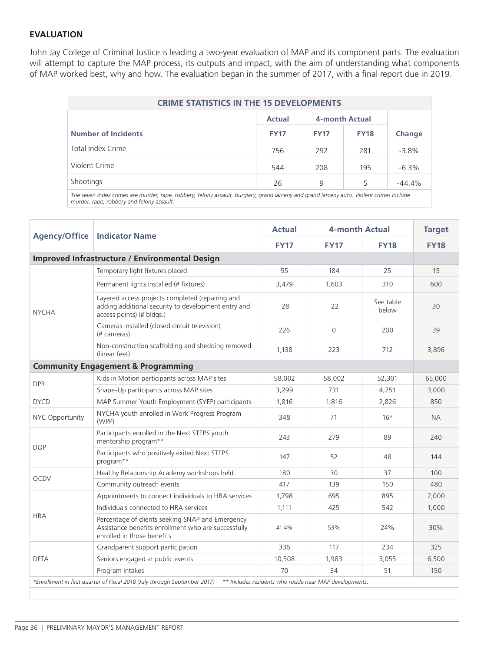#### **EVALUATION**

John Jay College of Criminal Justice is leading a two-year evaluation of MAP and its component parts. The evaluation will attempt to capture the MAP process, its outputs and impact, with the aim of understanding what components of MAP worked best, why and how. The evaluation began in the summer of 2017, with a final report due in 2019.

| <b>CRIME STATISTICS IN THE 15 DEVELOPMENTS</b>                                                                                          |               |                |             |          |  |  |  |  |
|-----------------------------------------------------------------------------------------------------------------------------------------|---------------|----------------|-------------|----------|--|--|--|--|
|                                                                                                                                         | <b>Actual</b> | 4-month Actual |             |          |  |  |  |  |
| <b>Number of Incidents</b>                                                                                                              | <b>FY17</b>   | <b>FY17</b>    | <b>FY18</b> | Change   |  |  |  |  |
| Total Index Crime                                                                                                                       | 756           | 292            | 281         | $-3.8%$  |  |  |  |  |
| Violent Crime                                                                                                                           | 544           | 208            | 195         | $-6.3%$  |  |  |  |  |
| Shootings                                                                                                                               | 26            | 9              | 5           | $-44.4%$ |  |  |  |  |
| The seven index crimes are murder, rane, rebbery felony assault, burglary, grand larseny and grand larseny auto, Violent srimes include |               |                |             |          |  |  |  |  |

*The seven index crimes are murder, rape, robbery, felony assault, burglary, grand larceny and grand larceny auto. Violent crimes include murder, rape, robbery and felony assault.* 

|                                                                                                                                      | <b>Agency/Office   Indicator Name</b>                                                                                                 | <b>Actual</b> | 4-month Actual |                    | <b>Target</b> |  |
|--------------------------------------------------------------------------------------------------------------------------------------|---------------------------------------------------------------------------------------------------------------------------------------|---------------|----------------|--------------------|---------------|--|
|                                                                                                                                      |                                                                                                                                       | <b>FY17</b>   | <b>FY17</b>    | <b>FY18</b>        | <b>FY18</b>   |  |
| <b>Improved Infrastructure / Environmental Design</b>                                                                                |                                                                                                                                       |               |                |                    |               |  |
| <b>NYCHA</b>                                                                                                                         | Temporary light fixtures placed                                                                                                       | 55            | 184            | 25                 | 15            |  |
|                                                                                                                                      | Permanent lights installed (# fixtures)                                                                                               | 3,479         | 1,603          | 310                | 600           |  |
|                                                                                                                                      | Layered access projects completed (repairing and<br>adding additional security to development entry and<br>access points) (# bldgs.)  | 28            | 22             | See table<br>below | 30            |  |
|                                                                                                                                      | Cameras installed (closed circuit television)<br>(# cameras)                                                                          | 226           | 0              | 200                | 39            |  |
|                                                                                                                                      | Non-construction scaffolding and shedding removed<br>(linear feet)                                                                    | 1,138         | 223            | 712                | 3,896         |  |
|                                                                                                                                      | <b>Community Engagement &amp; Programming</b>                                                                                         |               |                |                    |               |  |
| <b>DPR</b>                                                                                                                           | Kids in Motion participants across MAP sites                                                                                          | 58,002        | 58,002         | 52,301             | 65,000        |  |
|                                                                                                                                      | Shape-Up participants across MAP sites                                                                                                | 3,299         | 731            | 4,251              | 3,000         |  |
| <b>DYCD</b>                                                                                                                          | MAP Summer Youth Employment (SYEP) participants                                                                                       | 1,816         | 1.816          | 2,826              | 850           |  |
| NYC Opportunity                                                                                                                      | NYCHA youth enrolled in Work Progress Program<br>(WPP)                                                                                | 348           | 71             | $16*$              | <b>NA</b>     |  |
| <b>DOP</b>                                                                                                                           | Participants enrolled in the Next STEPS youth<br>mentorship program**                                                                 | 243           | 279            | 89                 | 240           |  |
|                                                                                                                                      | Participants who positively exited Next STEPS<br>program**                                                                            | 147           | 52             | 48                 | 144           |  |
|                                                                                                                                      | Healthy Relationship Academy workshops held                                                                                           | 180           | 30             | 37                 | 100           |  |
| <b>OCDV</b>                                                                                                                          | Community outreach events                                                                                                             | 417           | 139            | 150                | 480           |  |
| <b>HRA</b>                                                                                                                           | Appointments to connect individuals to HRA services                                                                                   | 1,798         | 695            | 895                | 2,000         |  |
|                                                                                                                                      | Individuals connected to HRA services                                                                                                 | 1,111         | 425            | 542                | 1,000         |  |
|                                                                                                                                      | Percentage of clients seeking SNAP and Emergency<br>Assistance benefits enrollment who are successfully<br>enrolled in those benefits | 41.4%         | 53%            | 24%                | 30%           |  |
| <b>DFTA</b>                                                                                                                          | Grandparent support participation                                                                                                     | 336           | 117            | 234                | 325           |  |
|                                                                                                                                      | Seniors engaged at public events                                                                                                      | 10,508        | 1,983          | 3,055              | 6,500         |  |
|                                                                                                                                      | Program intakes                                                                                                                       | 70            | 34             | 51                 | 150           |  |
| *Enrollment in first quarter of Fiscal 2018 (July through September 2017)<br>** Includes residents who reside near MAP developments. |                                                                                                                                       |               |                |                    |               |  |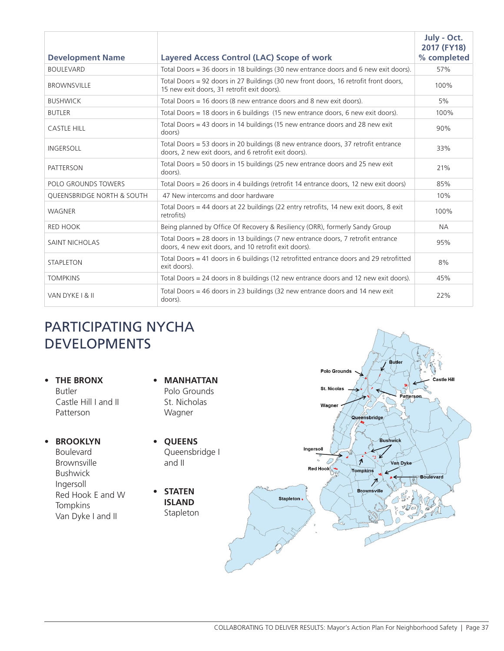| <b>Development Name</b>               | <b>Layered Access Control (LAC) Scope of work</b>                                                                                          | July - Oct.<br>2017 (FY18)<br>% completed |
|---------------------------------------|--------------------------------------------------------------------------------------------------------------------------------------------|-------------------------------------------|
| <b>BOULEVARD</b>                      | Total Doors = 36 doors in 18 buildings (30 new entrance doors and 6 new exit doors).                                                       | 57%                                       |
| <b>BROWNSVILLE</b>                    | Total Doors = 92 doors in 27 Buildings (30 new front doors, 16 retrofit front doors,<br>15 new exit doors, 31 retrofit exit doors).        | 100%                                      |
| <b>BUSHWICK</b>                       | Total Doors = 16 doors (8 new entrance doors and 8 new exit doors).                                                                        | 5%                                        |
| <b>BUTLER</b>                         | Total Doors = 18 doors in 6 buildings (15 new entrance doors, 6 new exit doors).                                                           | 100%                                      |
| <b>CASTLE HILL</b>                    | Total Doors = 43 doors in 14 buildings (15 new entrance doors and 28 new exit<br>doors)                                                    | 90%                                       |
| <b>INGERSOLL</b>                      | Total Doors = 53 doors in 20 buildings (8 new entrance doors, 37 retrofit entrance<br>doors, 2 new exit doors, and 6 retrofit exit doors). | 33%                                       |
| <b>PATTERSON</b>                      | Total Doors = 50 doors in 15 buildings (25 new entrance doors and 25 new exit<br>doors).                                                   | 21%                                       |
| POLO GROUNDS TOWERS                   | Total Doors = 26 doors in 4 buildings (retrofit 14 entrance doors, 12 new exit doors)                                                      | 85%                                       |
| <b>QUEENSBRIDGE NORTH &amp; SOUTH</b> | 47 New intercoms and door hardware                                                                                                         | 10%                                       |
| <b>WAGNER</b>                         | Total Doors = 44 doors at 22 buildings (22 entry retrofits, 14 new exit doors, 8 exit<br>retrofits)                                        | 100%                                      |
| <b>RED HOOK</b>                       | Being planned by Office Of Recovery & Resiliency (ORR), formerly Sandy Group                                                               | <b>NA</b>                                 |
| <b>SAINT NICHOLAS</b>                 | Total Doors = 28 doors in 13 buildings (7 new entrance doors, 7 retrofit entrance<br>doors, 4 new exit doors, and 10 retrofit exit doors). | 95%                                       |
| <b>STAPLETON</b>                      | Total Doors = 41 doors in 6 buildings (12 retrofitted entrance doors and 29 retrofitted<br>exit doors).                                    | 8%                                        |
| <b>TOMPKINS</b>                       | Total Doors = 24 doors in 8 buildings (12 new entrance doors and 12 new exit doors).                                                       | 45%                                       |
| VAN DYKE I & II                       | Total Doors = 46 doors in 23 buildings (32 new entrance doors and 14 new exit<br>doors).                                                   | 22%                                       |

# PARTICIPATING NYCHA DEVELOPMENTS

**• THE BRONX** Butler Castle Hill I and II Patterson

- **• BROOKLYN**  Boulevard Brownsville Bushwick Ingersoll Red Hook E and W **Tompkins** Van Dyke I and II
- **• MANHATTAN** Polo Grounds St. Nicholas Wagner
- **• QUEENS** Queensbridge I and II
- **• STATEN ISLAND** Stapleton